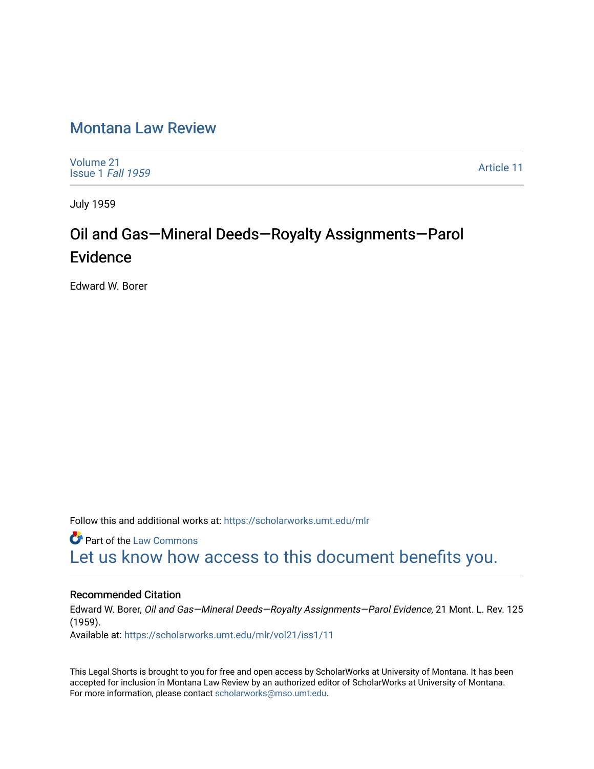## [Montana Law Review](https://scholarworks.umt.edu/mlr)

[Volume 21](https://scholarworks.umt.edu/mlr/vol21) [Issue 1](https://scholarworks.umt.edu/mlr/vol21/iss1) Fall 1959

[Article 11](https://scholarworks.umt.edu/mlr/vol21/iss1/11) 

July 1959

## Oil and Gas-Mineral Deeds-Royalty Assignments-Parol Evidence

Edward W. Borer

Follow this and additional works at: [https://scholarworks.umt.edu/mlr](https://scholarworks.umt.edu/mlr?utm_source=scholarworks.umt.edu%2Fmlr%2Fvol21%2Fiss1%2F11&utm_medium=PDF&utm_campaign=PDFCoverPages) 

**Part of the [Law Commons](http://network.bepress.com/hgg/discipline/578?utm_source=scholarworks.umt.edu%2Fmlr%2Fvol21%2Fiss1%2F11&utm_medium=PDF&utm_campaign=PDFCoverPages)** [Let us know how access to this document benefits you.](https://goo.gl/forms/s2rGfXOLzz71qgsB2) 

## Recommended Citation

Edward W. Borer, Oil and Gas—Mineral Deeds—Royalty Assignments—Parol Evidence, 21 Mont. L. Rev. 125 (1959). Available at: [https://scholarworks.umt.edu/mlr/vol21/iss1/11](https://scholarworks.umt.edu/mlr/vol21/iss1/11?utm_source=scholarworks.umt.edu%2Fmlr%2Fvol21%2Fiss1%2F11&utm_medium=PDF&utm_campaign=PDFCoverPages)

This Legal Shorts is brought to you for free and open access by ScholarWorks at University of Montana. It has been accepted for inclusion in Montana Law Review by an authorized editor of ScholarWorks at University of Montana. For more information, please contact [scholarworks@mso.umt.edu.](mailto:scholarworks@mso.umt.edu)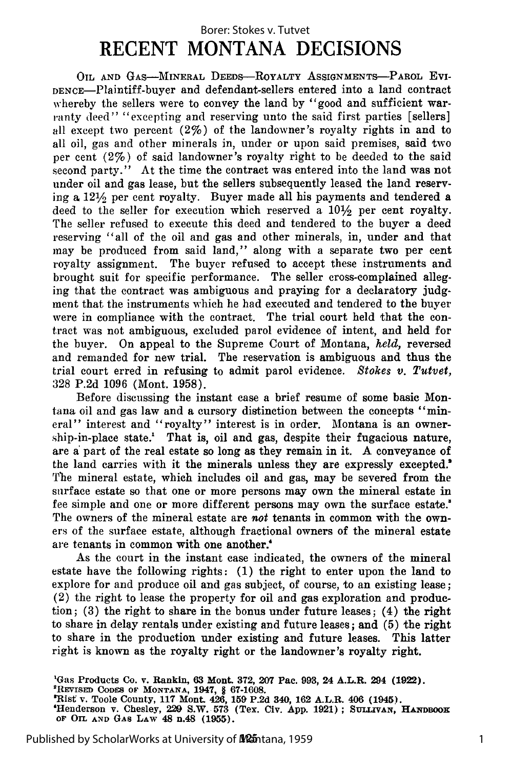## **RECENT MONTANA DECISIONS** Borer: Stokes v. Tutvet

OIL **AND GAS-MINERAL** DEEDS--ROYALTY ASSIGNMENTS-PAROL Evi-DENCE-Plaintiff-buyer and defendant-sellers entered into a land contract whereby the sellers were to convey the land by "good and sufficient warranty deed" "excepting and reserving unto the said first parties [sellers] all except two percent (2%) of the landowner's royalty rights in and to all oil, gas and other minerals in, under or upon said premises, said two per cent (2%) of said landowner's royalty right to be deeded to the said second party." At the time the contract was entered into the land was not under oil and gas lease, but the sellers subsequently leased the land reserving a  $12\frac{1}{2}$  per cent royalty. Buyer made all his payments and tendered a deed to the seller for execution which reserved a  $10\frac{1}{2}$  per cent royalty. The seller refused to execute this deed and tendered to the buyer a deed reserving "all of the oil and gas and other minerals, in, under and that may be produced from said land," along with a separate two per cent royalty assignment. The buyer refused to accept these instruments and brought suit for specific performance. The seller cross-complained alleging that the contract was ambiguous and praying for a declaratory **judg**ment that the instruments which he had executed and tendered to the buyer were in compliance with the contract. The trial court held that the contract was not ambiguous, excluded parol evidence of intent, and held for the buyer. On appeal to the Supreme Court of Montana, *held,* reversed and remanded for new trial. The reservation is ambiguous and thus the trial court erred in refusing to admit parol evidence. *Stokes v. Tutvet,* 328 P.2d 1096 (Mont. 1958).

Before discussing the instant case a brief resume of some basic Montana oil and gas law and a cursory distinction between the concepts "mineral" interest and "royalty" interest is in order. Montana is an ownership-in-place state.' That is, oil and gas, despite their fugacious nature, are a: part of the real estate so long as they remain in it. A conveyance of the land carries with it the minerals unless they are expressly excepted.' The mineral estate, which includes oil and gas, may be severed from the surface estate so that one or more persons may own the mineral estate in fee simple and one or more different persons may own the surface estate.<sup>"</sup> The owners of the mineral estate are *not* tenants in common with the owners of the surface estate, although fractional owners of the mineral estate are tenants in common with one another.'

As the court in the instant case indicated, the owners of the mineral estate have the following rights: (1) the right to enter upon the land to explore for and produce oil and gas subject, of course, to an existing lease; (2) the right to lease the property for oil and gas exploration and production; (3) the right to share in the bonus under future leases; (4) the right to share in delay rentals under existing and future leases; and (5) the right to share in the production under existing and future leases. This latter right is known as the royalty right or the landowner's royalty right.

'Gas Products Co. **v. Rankin, 63 Mont. 372, 207** Pac. **993, 24 A.L.R. 294 (1922). <sup>2</sup>** PREVISED CODES OF MONTANA, 1947, § 67-1608.<br>"Rist v. Toole County, 117 Mont. 426, 159 P.2d 340, 162 A.L.R. 406 (1945).<br>"Henderson v. Chesley, 229 S.W. 573 (Tex. Civ. App. 1921): SULLIVAN. HANDBOOI **OF OIL AND GAS LAW 48 n.48 (1955).**

Published by ScholarWorks at University of Mantana, 1959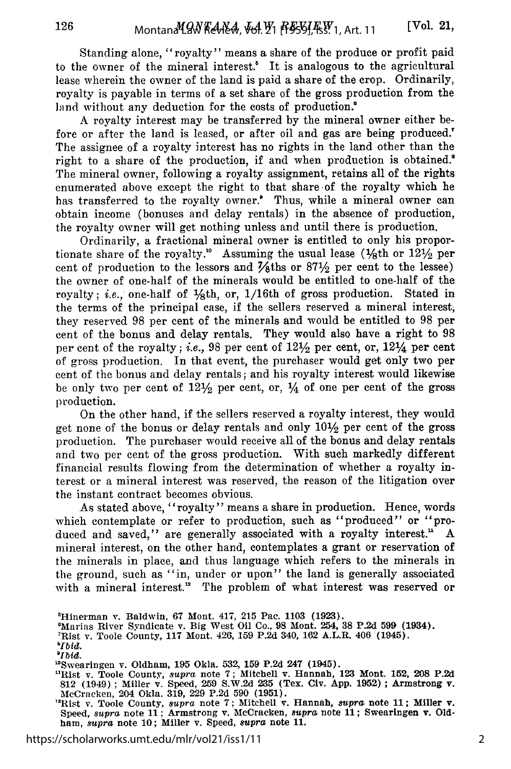Standing alone, "royalty" means a share of the produce or profit paid to the owner of the mineral interest.<sup>8</sup> It is analogous to the agricultural lease wherein the owner of the land is paid a share of the crop. Ordinarily, royalty is payable in terms of a set share of the gross production from the land without any deduction for the costs of production.<sup>8</sup>

A royalty interest may be transferred by the mineral owner either before or after the land is leased, or after oil and gas are being produced.' The assignee of a royalty interest has no rights in the land other than the right to a share of the production, if and when production is obtained.' The mineral owner, following a royalty assignment, retains all of the rights enumerated above except the right to that share of the royalty which he has transferred to the royalty owner.' Thus, while a mineral owner can obtain income (bonuses and delay rentals) in the absence of production, the royalty owner will get nothing unless and until there is production.

Ordinarily, a fractional mineral owner is entitled to only his proportionate share of the royalty.<sup>10</sup> Assuming the usual lease ( $\frac{1}{8}$ th or  $12\frac{1}{2}$  per cent of production to the lessors and  $\frac{7}{6}$ ths or 87<sup>1</sup>/<sub>2</sub> per cent to the lessee) the owner of one-half of the minerals would be entitled to one-half of the royalty; *i.e.*, one-half of  $\frac{1}{8}$ th, or,  $\frac{1}{16}$ th of gross production. Stated in the terms of the principal case, if the sellers reserved a mineral interest they reserved 98 per cent of the minerals and would be entitled to 98 per cent of the bonus and delay rentals. They would also have a right to 98 per cent of the royalty; *i.e.,* 98 per cent of **121/2** per cent, or, 121/4 per cent of gross production. In that event, the purchaser would get only two per cent of the bonus and delay rentals; and his royalty interest would likewise be only two per cent of  $12\frac{1}{2}$  per cent, or,  $\frac{1}{4}$  of one per cent of the gross production.

On the other hand, if the sellers reserved a royalty interest, they would get none of the bonus or delay rentals and only  $10\frac{1}{2}$  per cent of the gross production. The purchaser would receive all of the bonus and delay rentals and two per cent of the gross production. With such markedly different financial results flowing from the determination of whether a royalty interest or a mineral interest was reserved, the reason of the litigation over the instant contract becomes obvious.

As stated above, "royalty" means a share in production. Hence, words which contemplate or refer to production, such as "produced" or "produced and saved," are generally associated with a royalty interest." A mineral interest, on the other hand, contemplates a grant or reservation of the minerals in place, and thus language which refers to the minerals in the ground, such as "in, under or upon" the land is generally associated with a mineral interest.<sup>12</sup> The problem of what interest was reserved or

126

<sup>&#</sup>x27;Hinerman v. Baldwin, **67** Mont. 417, **215** Pac. **1103 (1923).**

<sup>&#</sup>x27;Marias River Syndicate v. Big West Oil Co., **98** Mont. 254, **38 P.2d 599** (1934). 'Rist v. Toole County, **117** Mont. 426, **159 P.2d** 340, **162** A.L.R. 406 (1945).

*<sup>&</sup>quot;Ibid. 'Ibid.*

<sup>&#</sup>x27;Swearingen v. Oldham, **195** Okla. **532, 159 P.2d 247** (1945).

<sup>&</sup>quot;Rist v. Toole County, *supra* note **7;** Mitchell v. Hannah, **123** Mont. **152, 208 P.2d 812** (1949) **;** Miller v. Speed, **259 S.W.2d 235** (Tex. Civ. **App. 1952) ;** Armstrong v. McCracken, 204 Okla. **319, 229 P.2d 590 (1951).**

<sup>&</sup>quot;Rist v. Toole County, *supra* note **7;** Mitchell v. Hannah, *supra* note **11;** Miller v. Speed, *supra* note **11;** Armstrong v. McCracken, *supra* note **11;** Swearingen v. **Old**ham, *supra* note **10;** Miller v. Speed, *supra* **note 11.**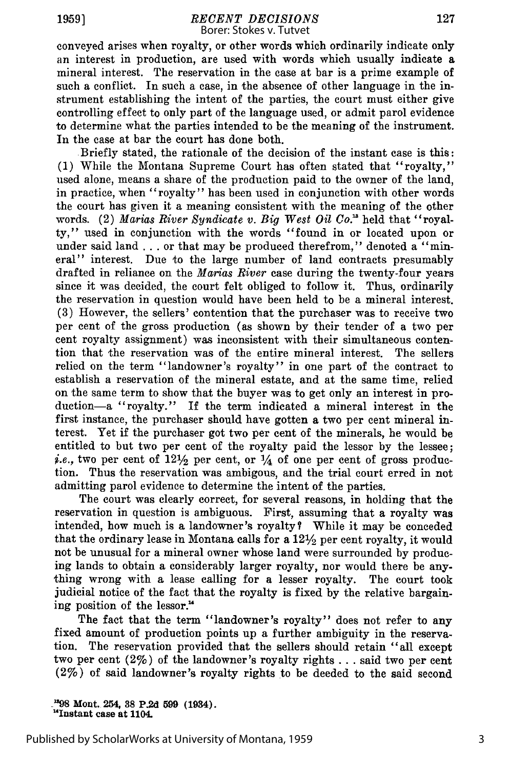conveyed arises when royalty, or other words which ordinarily indicate only an interest in production, are used with words which usually indicate a mineral interest. The reservation in the case at bar is a prime example of such a conflict. In such a case, in the absence of other language in the instrument establishing the intent of the parties, the court must either give controlling effect to only part of the language used, or admit parol evidence to determine what the parties intended to be the meaning of the instrument. In the case at bar the court has done both.

Briefly stated, the rationale of the decision of the instant case is this: (1) While the Montana Supreme Court has often stated that "royalty," used alone, means a share of the production paid to the owner of the land, in practice, when "royalty" has been used in conjunction with other words the court has given it a meaning consistent with the meaning of the other words. (2) *Marias River Syndicate v. Big West Oil Co."* held that "royalty," used in conjunction with the words "found in or located upon or under said land . . . or that may be produced therefrom," denoted a "mineral" interest. Due to the large number of land contracts presumably drafted in reliance on the *Marias River* case during the twenty-four years since it was decided, the court felt obliged to follow it. Thus, ordinarily the reservation in question would have been held to be a mineral interest. (3) However, the sellers' contention that the purchaser was to receive two per cent of the gross production (as shown by their tender of a two per cent royalty assignment) was inconsistent with their simultaneous contention that the reservation was of the entire mineral interest. The sellers relied on the term "landowner's royalty" in one part of the contract to establish a reservation of the mineral estate, and at the same time, relied on the same term to show that the buyer was to get only an interest in production-a "royalty." If the term indicated a mineral interest in the first instance, the purchaser should have gotten a two per cent mineral interest. Yet if the purchaser got two per cent of the minerals, he would be entitled to but two per cent of the royalty paid the lessor by the lessee; *i.e.*, two per cent of  $12\frac{1}{2}$  per cent, or  $\frac{1}{4}$  of one per cent of gross production. Thus the reservation was ambigous, and the trial court erred in not admitting parol evidence to determine the intent of the parties.

The court was clearly correct, for several reasons, in holding that the reservation in question is ambiguous. First, assuming that a royalty was intended, how much is a landowner's royalty? While it may be conceded that the ordinary lease in Montana calls for a 121/2 per cent royalty, it would not be unusual for a mineral owner whose land were surrounded by producing lands to obtain a considerably larger royalty, nor would there be anything wrong with a lease calling for a lesser royalty. The court took judicial notice of the fact that the royalty is fixed by the relative bargaining position of the lessor."

The fact that the term "landowner's royalty" does not refer to any fixed amount of production points up a further ambiguity in the reservation. The reservation provided that the sellers should retain "all except two per cent (2%) of the landowner's royalty rights **...** said two per cent (2%) of said landowner's royalty rights to be deeded to the said second

**\_"98 Mont. 254, 38 P.2d 599 (1934). '4 Instant case at 1104.**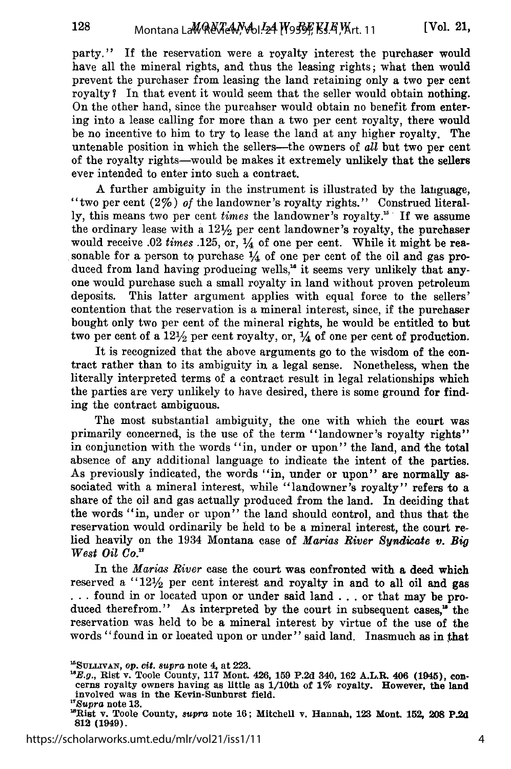party." If the reservation were a royalty interest the purchaser would have all the mineral rights, and thus the leasing rights; what then would prevent the purchaser from leasing the land retaining only a two per cent royalty? In that event it would seem that the seller would obtain nothing. On the other hand, since the purcahser would obtain no benefit from entering into a lease calling for more than a two per cent royalty, there would be no incentive to him to try to lease the land at any higher royalty. The untenable position in which the sellers—the owners of *all* but two per cent of the royalty rights-would be makes it extremely unlikely that the sellers ever intended to enter into such a contract.

A further ambiguity in the instrument is illustrated by the lauguage, "two per cent (2%) *of* the landowner's royalty rights." Construed literally, this means two per cent *times* the landowner's royalty.<sup>15</sup> If we assume the ordinary lease with a  $12\frac{1}{2}$  per cent landowner's royalty, the purchaser would receive .02 *times* .125, or, **1/4** of one per cent. While it might be reasonable for a person to purchase *1/4* of one per cent of the oil and gas produced from land having producing wells,<sup>16</sup> it seems very unlikely that anyone would purchase such a small royalty in land without proven petroleum deposits. This latter argument applies with equal force to the sellers' contention that the reservation is a mineral interest, since, if the purchaser bought only two per cent of the mineral rights, he would be entitled to but two per cent of a  $12\frac{1}{2}$  per cent royalty, or,  $\frac{1}{4}$  of one per cent of production.

It is recognized that the above arguments go to the wisdom of the contract rather than to its ambiguity in a legal sense. Nonetheless, when the literally interpreted terms of a contract result in legal relationships which the parties are very unlikely to have desired, there is some ground for finding the contract ambiguous.

The most substantial ambiguity, the one with which the court was primarily concerned, is the use of the term "landowner's royalty rights" in conjunction with the words "in, under or upon" the land, and the total absence of any additional language to indicate the intent of the parties. As previously indicated, the words "in, under or upon" are normally associated with a mineral interest, while "landowner's royalty" refers to a share of the oil and gas actually produced from the land. In deciding that the words "in, under or upon" the land should control, and thus that the reservation would ordinarily be held to be a mineral interest, the court relied heavily on the 1934 Montana case of *Marias River Syndicate v. Big West Oil Co.*

In the *Marias River* case the court was confronted with a deed which reserved a " $12\frac{1}{2}$  per cent interest and royalty in and to all oil and gas **...** found in or located upon or under said land **...** or that may be produced therefrom." As interpreted by the court in subsequent cases," the reservation was held to be a mineral interest by virtue of the use of the words "found in or located upon or under" said land. Inasmuch as in that

128

**<sup>&</sup>quot;SULLIVAN,** *Op.* **Cit.** *8upra* note 4, **at 223.**

*<sup>&</sup>quot;E.g.,* Rist v. Toole County, **117** Mont. 426, **159 P.2d** 340, **162 A.L.R. 406 (1945),** con- cerns royalty owners having as little **as** 1/10th of **1%** royalty. However, **the land** involved was in the Kevin-Sunburst field. *1 7 Supra* note **13.**

<sup>&</sup>quot;Rist v. Toole County, *supra* note **16;** Mitchell v. Hannah, **123** Mont. 152, **208 P.2d 812 (1949).**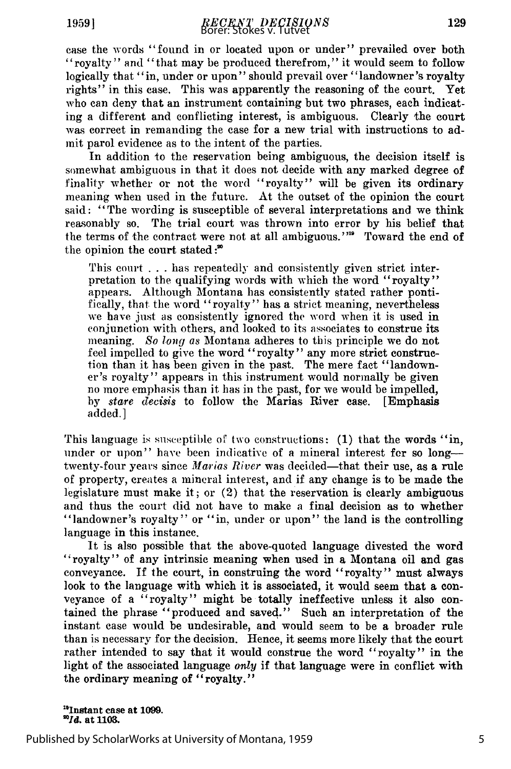case the words "found in or located upon or under" prevailed over both "royalty" and "that may be produced therefrom," it would seem to follow logically that "in, under or upon" should prevail over "landowner's royalty rights" in this case. This was apparently the reasoning of the court. Yet who can deny that an instrument containing but two phrases, each indicating a different and conflicting interest, is ambiguous. Clearly the court was correct in remanding the case for a new trial with instructions to admit parol evidence as to the intent of the parties.

In addition to the reservation being ambiguous, the decision itself is somewhat ambiguous in that it does not decide with any marked degree of finality whether or not the word "royalty" will be given its ordinary meaning when used in the future. At the outset of the opinion the court said: "The wording is susceptible of several interpretations and we think reasonably so. The trial court was thrown into error by his belief that the terms of the contract were not at all ambiguous."<sup>10</sup> Toward the end of the opinion the court stated:<sup>"</sup>

This court . . . has repeatedly and consistently given strict interpretation to the qualifying words with which the word "royalty" appears. Although Montana has consistently stated rather ponti-<br>fically, that the word "royalty" has a strict meaning, nevertheless we have just as consistently ignored the word when it is used in conjunction with others, and looked to its associates to construe its meaning. *So* long *as* Montana adheres to this principle we do not feel impelled to give the word "royalty" any more strict construction than it has been given in the past. The mere fact "landowner's royalty" appears in this instrument would normally be given no more emphasis than it has in the past, for we would be impelled, by *stare decisis* to follow the Marias River case. [Emphasis added.]

This language is susceptible of two constructions: (1) that the words "in, under or upon" have been indicative of a mineral interest for so long--twenty-four years since *Marias River* was decided—that their use, as a rule of property, creates a mineral interest, and if any change is to be made the legislature must make it; or (2) that the reservation is clearly ambiguous and thus the court did not have to make a final decision as to whether "landowner's royalty" or "in, under or upon" the land is the controlling language in this instance.

It is also possible that the above-quoted language divested the word "royalty" of any intrinsic meaning when used in a Montana oil and gas conveyance. If the court, in construing the word "royalty" must always look to the language with which it is associated, it would seem that a conveyance of a "royalty" might be totally ineffective unless it also contained the phrase "produced and saved." Such an interpretation of the instant case would be undesirable, and would seem to be a broader rule than is necessary for the decision. Hence, it seems more likely that the court rather intended to say that it would construe the word "royalty" in the light of the associated language *only* if that language were in conflict with the ordinary meaning of "royalty."

<sup>19</sup>Instant case at 1099.<br><sup>20</sup>*Id.* at 1103.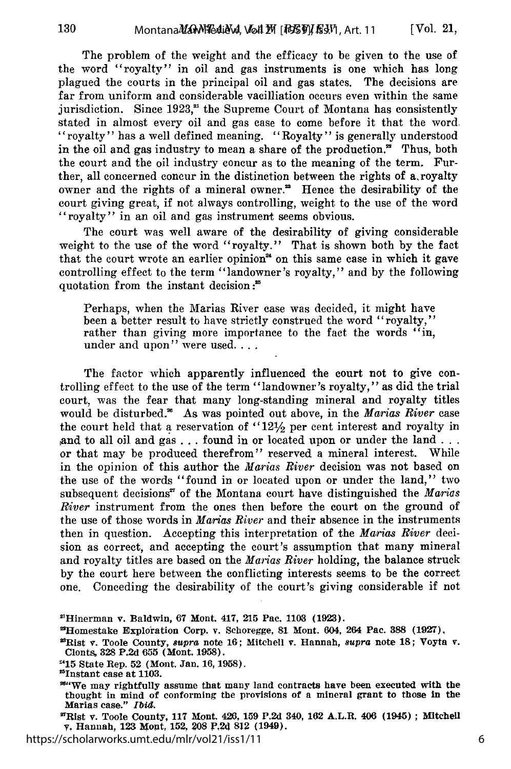The problem of the weight and the efficacy to be given to the use of the word "royalty" in oil and gas instruments is one which has long plagued the courts in the principal oil and gas states. The decisions are far from uniform and considerable vacilliation occurs even within the same jurisdiction. Since  $1923$ ,<sup>21</sup> the Supreme Court of Montana has consistently stated in almost every oil and gas case to come before it that the word "royalty" has a well defined meaning. "Royalty" is generally understood in the oil and gas industry to mean a share of the production." Thus, both the court and the oil industry concur as to the meaning of the term. Further, all concerned concur in the distinction between the rights of  $a$ , royalty owner and the rights of a mineral owner." Hence the desirability of the court giving great, if not always controlling, weight to the use of the word "royalty" in an oil and gas instrument seems obvious.

The court was well aware of the desirability of giving considerable weight to the use of the word "royalty." That is shown both by the fact that the court wrote an earlier opinion<sup>24</sup> on this same case in which it gave controlling effect to the term "landowner's royalty," and by the following quotation from the instant decision:<sup>25</sup>

Perhaps, when the Marias River case was decided, it might have been a better result to have strictly construed the word "royalty," rather than giving more importance to the fact the words "in, under and upon" were used....

The factor which apparently influenced the court not to give controlling effect to the use of the term "landowner's royalty," as did the trial court, was the fear that many long-standing mineral and royalty titles would be disturbed." As was pointed out above, in the *Marias River* case the court held that a reservation of  $12\frac{1}{2}$  per cent interest and royalty in ,and to all oil and gas **...** found in or located upon or under the **land...** or that may be produced therefrom" reserved a mineral interest. While in the opinion of this author the *Marias River* decision was not based on the use of the words "found in or located upon or under the land," two subsequent decisions<sup>27</sup> of the Montana court have distinguished the Marias *River* instrument from the ones then before the court on the ground of the use of those words in *Marias River* and their absence in the instruments then in question. Accepting this interpretation of the *Marias River* decision as correct, and accepting the court's assumption that many mineral and royalty titles are based on the *Marias River* holding, the balance struck by the court here between the conflicting interests seems to be the correct one. Conceding the desirability of the court's giving considerable if not

<sup>2</sup> Rist v. Toole County, 117 Mont. 426, **159 P.2d** 340, 162 A.L.R. 406 (1945) **;** MItchell **v.** Hannah, **123** Mont, **152, 208** F,24 **812** (1949).

https://scholarworks.umt.edu/mlr/vol21/iss1/11

<sup>&</sup>quot;Hinerman v. Baldwin, 67 Mont. 417, **215** Pac. **1103 (1923).**

<sup>2</sup> Homestake Exploration Corp. v. Schoregge, 81 Mont. 604, 264 Pac. **388** (1927), <sup>2</sup>

<sup>9</sup>Rlst v. Toole County, supra note 16; Mitchell v. Hannah, *supra* note 18; Voyta v. Clonts, 328 P.2d **655** (Mont. 1958).

**<sup>&</sup>quot;15** State Rep. **52** (Mont. Jan. 16, 1958).

<sup>&#</sup>x27;Instant case at **1103.**

<sup>&#</sup>x27;0"We may rightfully assume that many land contracts have been executed with the thought in mind of conforming the provisions of a mineral grant to those in the Marias case." Ibid.